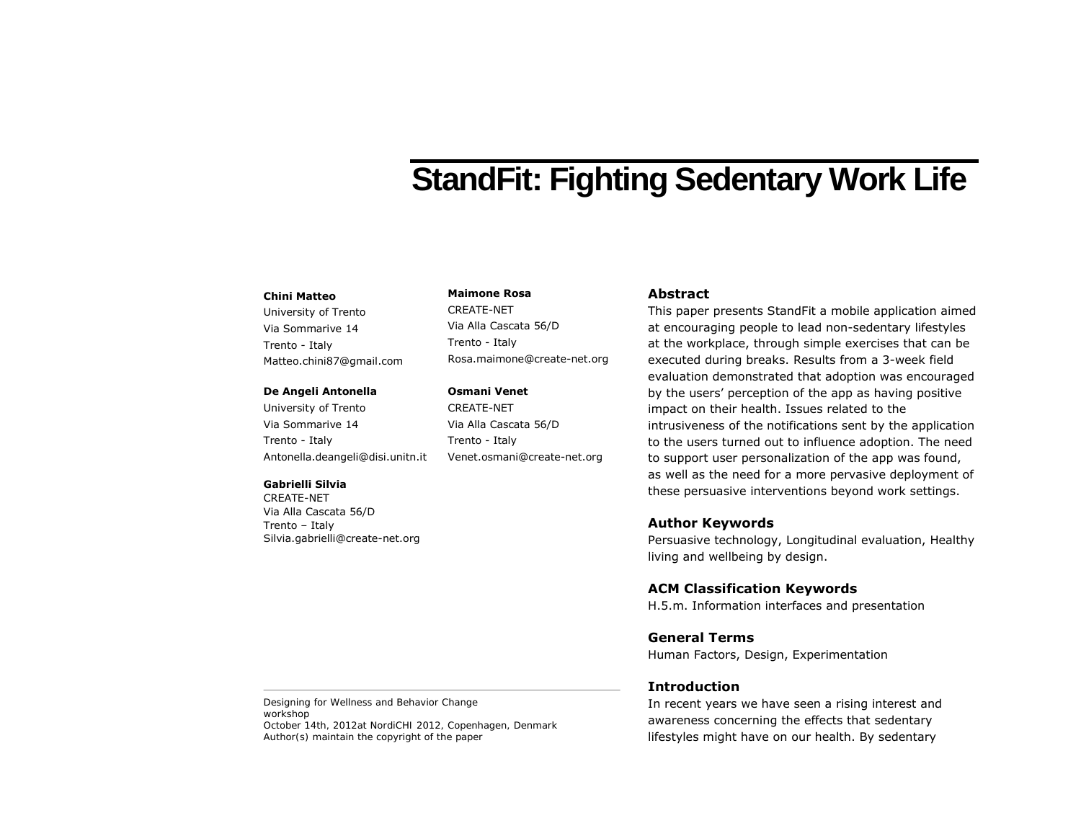# **StandFit: Fighting Sedentary Work Life**

#### **Chini Matteo**

University of Trento Via Sommarive 14 Trento - Italy Matteo.chini87@gmail.com

#### **De Angeli Antonella**

University of Trento Via Sommarive 14 Trento - Italy Antonella.deangeli@disi.unitn.it

#### **Gabrielli Silvia**

CREATE-NET Via Alla Cascata 56/D Trento – Italy Silvia.gabrielli@create-net.org

## **Maimone Rosa**

CREATE-NET Via Alla Cascata 56/D Trento - Italy Rosa.maimone@create-net.org

## **Osmani Venet**

CREATE-NET Via Alla Cascata 56/D Trento - Italy Venet.osmani@create-net.org

## **Abstract**

This paper presents StandFit a mobile application aimed at encouraging people to lead non-sedentary lifestyles at the workplace, through simple exercises that can be executed during breaks. Results from a 3-week field evaluation demonstrated that adoption was encouraged by the users' perception of the app as having positive impact on their health. Issues related to the intrusiveness of the notifications sent by the application to the users turned out to influence adoption. The need to support user personalization of the app was found, as well as the need for a more pervasive deployment of these persuasive interventions beyond work settings.

## **Author Keywords**

Persuasive technology, Longitudinal evaluation, Healthy living and wellbeing by design.

## **ACM Classification Keywords**

H.5.m. Information interfaces and presentation

## **General Terms**

Human Factors, Design, Experimentation

## **Introduction**

In recent years we have seen a rising interest and awareness concerning the effects that sedentary lifestyles might have on our health. By sedentary

Designing for Wellness and Behavior Change workshop October 14th, 2012at NordiCHI 2012, Copenhagen, Denmark Author(s) maintain the copyright of the paper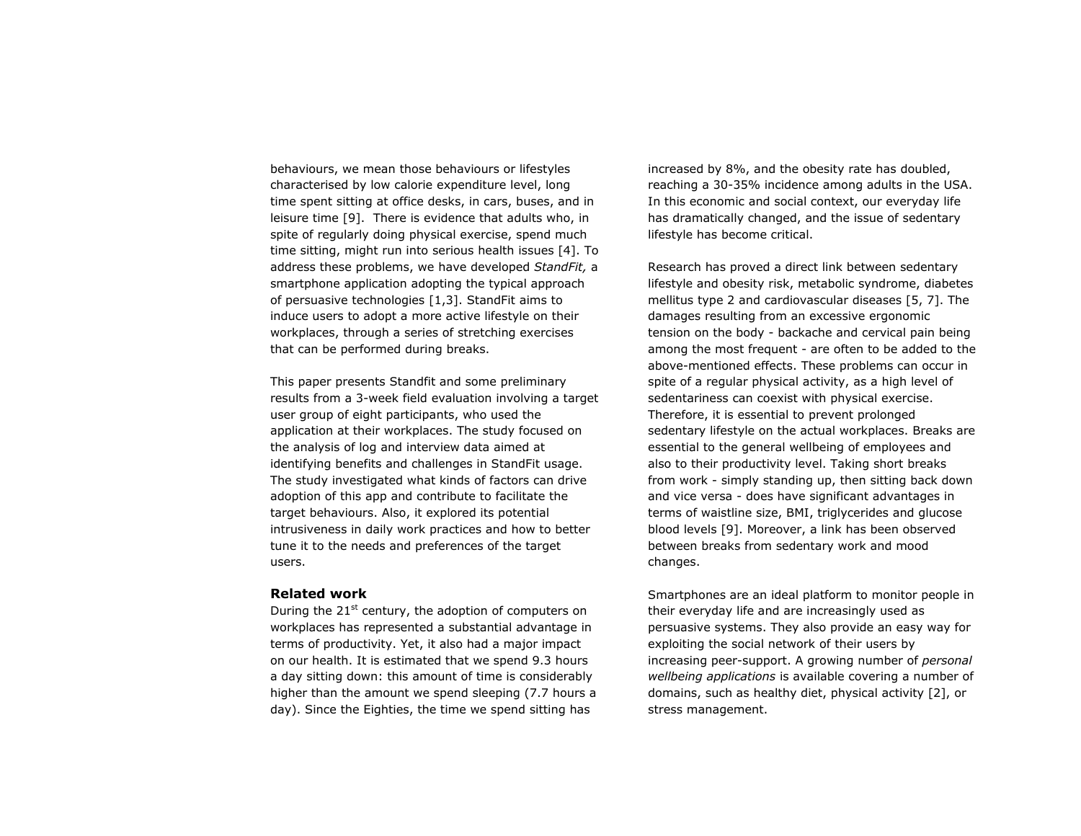behaviours, we mean those behaviours or lifestyles characterised by low calorie expenditure level, long time spent sitting at office desks, in cars, buses, and in leisure time [9]. There is evidence that adults who, in spite of regularly doing physical exercise, spend much time sitting, might run into serious health issues [4]. To address these problems, we have developed *StandFit,* a smartphone application adopting the typical approach of persuasive technologies [1,3]. StandFit aims to induce users to adopt a more active lifestyle on their workplaces, through a series of stretching exercises that can be performed during breaks.

This paper presents Standfit and some preliminary results from a 3-week field evaluation involving a target user group of eight participants, who used the application at their workplaces. The study focused on the analysis of log and interview data aimed at identifying benefits and challenges in StandFit usage. The study investigated what kinds of factors can drive adoption of this app and contribute to facilitate the target behaviours. Also, it explored its potential intrusiveness in daily work practices and how to better tune it to the needs and preferences of the target users.

## **Related work**

During the  $21^{st}$  century, the adoption of computers on workplaces has represented a substantial advantage in terms of productivity. Yet, it also had a major impact on our health. It is estimated that we spend 9.3 hours a day sitting down: this amount of time is considerably higher than the amount we spend sleeping (7.7 hours a day). Since the Eighties, the time we spend sitting has

increased by 8%, and the obesity rate has doubled, reaching a 30-35% incidence among adults in the USA. In this economic and social context, our everyday life has dramatically changed, and the issue of sedentary lifestyle has become critical.

Research has proved a direct link between sedentary lifestyle and obesity risk, metabolic syndrome, diabetes mellitus type 2 and cardiovascular diseases [5, 7]. The damages resulting from an excessive ergonomic tension on the body - backache and cervical pain being among the most frequent - are often to be added to the above-mentioned effects. These problems can occur in spite of a regular physical activity, as a high level of sedentariness can coexist with physical exercise. Therefore, it is essential to prevent prolonged sedentary lifestyle on the actual workplaces. Breaks are essential to the general wellbeing of employees and also to their productivity level. Taking short breaks from work - simply standing up, then sitting back down and vice versa - does have significant advantages in terms of waistline size, BMI, triglycerides and glucose blood levels [9]. Moreover, a link has been observed between breaks from sedentary work and mood changes.

Smartphones are an ideal platform to monitor people in their everyday life and are increasingly used as persuasive systems. They also provide an easy way for exploiting the social network of their users by increasing peer-support. A growing number of *personal wellbeing applications* is available covering a number of domains, such as healthy diet, physical activity [2], or stress management.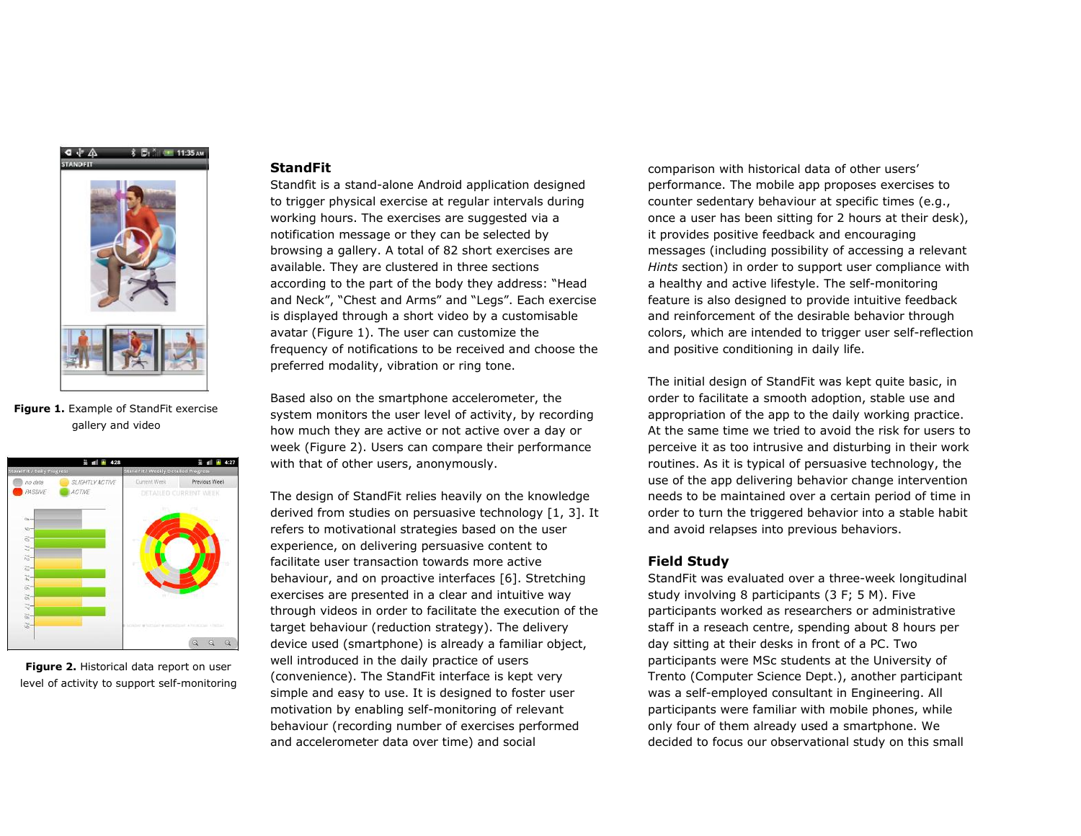

**Figure 1.** Example of StandFit exercise gallery and video



**Figure 2.** Historical data report on user level of activity to support self-monitoring

#### **StandFit**

Standfit is a stand-alone Android application designed to trigger physical exercise at regular intervals during working hours. The exercises are suggested via a notification message or they can be selected by browsing a gallery. A total of 82 short exercises are available. They are clustered in three sections according to the part of the body they address: "Head and Neck", "Chest and Arms" and "Legs". Each exercise is displayed through a short video by a customisable avatar (Figure 1). The user can customize the frequency of notifications to be received and choose the preferred modality, vibration or ring tone.

Based also on the smartphone accelerometer, the system monitors the user level of activity, by recording how much they are active or not active over a day or week (Figure 2). Users can compare their performance with that of other users, anonymously.

The design of StandFit relies heavily on the knowledge derived from studies on persuasive technology [1, 3]. It refers to motivational strategies based on the user experience, on delivering persuasive content to facilitate user transaction towards more active behaviour, and on proactive interfaces [6]. Stretching exercises are presented in a clear and intuitive way through videos in order to facilitate the execution of the target behaviour (reduction strategy). The delivery device used (smartphone) is already a familiar object, well introduced in the daily practice of users (convenience). The StandFit interface is kept very simple and easy to use. It is designed to foster user motivation by enabling self-monitoring of relevant behaviour (recording number of exercises performed and accelerometer data over time) and social

comparison with historical data of other users' performance. The mobile app proposes exercises to counter sedentary behaviour at specific times (e.g., once a user has been sitting for 2 hours at their desk), it provides positive feedback and encouraging messages (including possibility of accessing a relevant *Hints* section) in order to support user compliance with a healthy and active lifestyle. The self-monitoring feature is also designed to provide intuitive feedback and reinforcement of the desirable behavior through colors, which are intended to trigger user self-reflection and positive conditioning in daily life.

The initial design of StandFit was kept quite basic, in order to facilitate a smooth adoption, stable use and appropriation of the app to the daily working practice. At the same time we tried to avoid the risk for users to perceive it as too intrusive and disturbing in their work routines. As it is typical of persuasive technology, the use of the app delivering behavior change intervention needs to be maintained over a certain period of time in order to turn the triggered behavior into a stable habit and avoid relapses into previous behaviors.

## **Field Study**

StandFit was evaluated over a three-week longitudinal study involving 8 participants (3 F; 5 M). Five participants worked as researchers or administrative staff in a reseach centre, spending about 8 hours per day sitting at their desks in front of a PC. Two participants were MSc students at the University of Trento (Computer Science Dept.), another participant was a self-employed consultant in Engineering. All participants were familiar with mobile phones, while only four of them already used a smartphone. We decided to focus our observational study on this small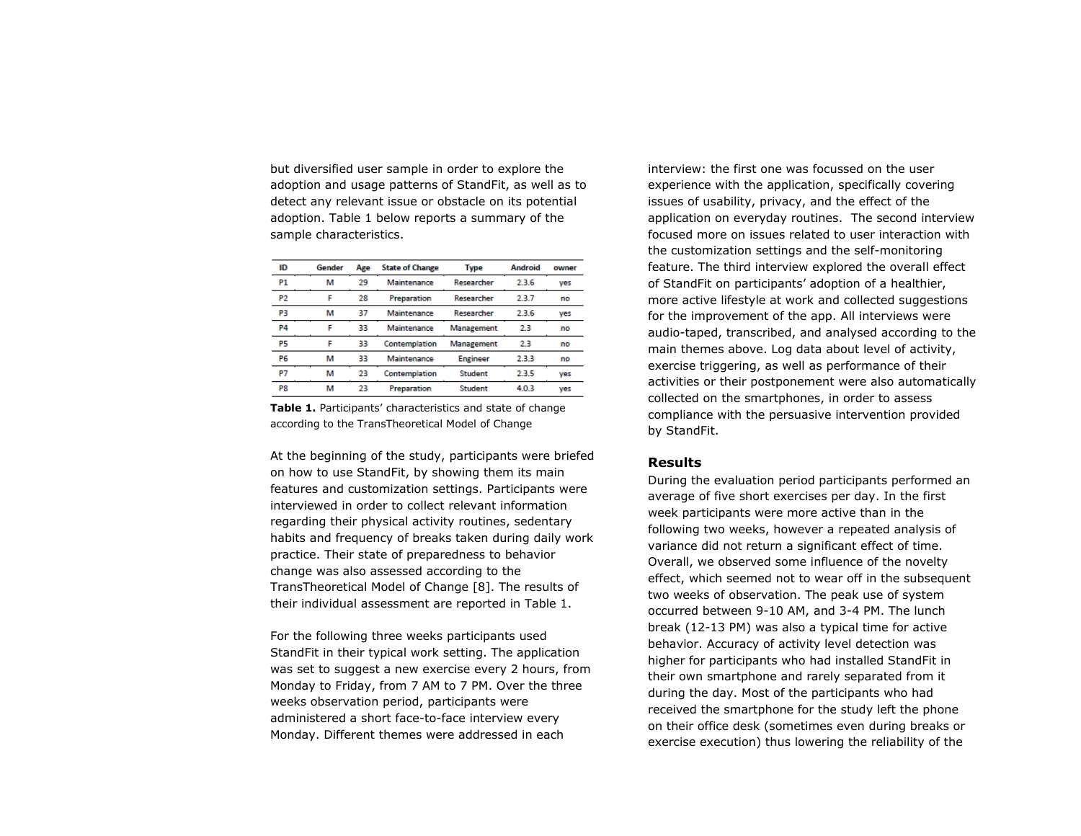but diversified user sample in order to explore the adoption and usage patterns of StandFit, as well as to detect any relevant issue or obstacle on its potential adoption. Table 1 below reports a summary of the sample characteristics.

| ID        | Gender | Age | <b>State of Change</b> | Type            | <b>Android</b> | owner |
|-----------|--------|-----|------------------------|-----------------|----------------|-------|
| <b>P1</b> | м      | 29  | Maintenance            | Researcher      | 236            | yes   |
| <b>P2</b> | F      | 28  | Preparation            | Researcher      | 2.3.7          | no    |
| P3        | м      | 37  | Maintenance            | Researcher      | 2.3.6          | yes   |
| <b>P4</b> | F      | 33  | Maintenance            | Management      | 2.3            | no    |
| P5        | F      | 33  | Contemplation          | Management      | 2.3            | no    |
| P6        | м      | 33  | Maintenance            | <b>Engineer</b> | 2.3.3          | no    |
| P7        | м      | 23  | Contemplation          | <b>Student</b>  | 2.3.5          | yes   |
| P8        | м      | 23  | Preparation            | <b>Student</b>  | 4.0.3          | yes   |

**Table 1.** Participants' characteristics and state of change according to the TransTheoretical Model of Change

At the beginning of the study, participants were briefed on how to use StandFit, by showing them its main features and customization settings. Participants were interviewed in order to collect relevant information regarding their physical activity routines, sedentary habits and frequency of breaks taken during daily work practice. Their state of preparedness to behavior change was also assessed according to the TransTheoretical Model of Change [8]. The results of their individual assessment are reported in Table 1.

For the following three weeks participants used StandFit in their typical work setting. The application was set to suggest a new exercise every 2 hours, from Monday to Friday, from 7 AM to 7 PM. Over the three weeks observation period, participants were administered a short face-to-face interview every Monday. Different themes were addressed in each

interview: the first one was focussed on the user experience with the application, specifically covering issues of usability, privacy, and the effect of the application on everyday routines. The second interview focused more on issues related to user interaction with the customization settings and the self-monitoring feature. The third interview explored the overall effect of StandFit on participants' adoption of a healthier, more active lifestyle at work and collected suggestions for the improvement of the app. All interviews were audio-taped, transcribed, and analysed according to the main themes above. Log data about level of activity, exercise triggering, as well as performance of their activities or their postponement were also automatically collected on the smartphones, in order to assess compliance with the persuasive intervention provided by StandFit.

## **Results**

During the evaluation period participants performed an average of five short exercises per day. In the first week participants were more active than in the following two weeks, however a repeated analysis of variance did not return a significant effect of time. Overall, we observed some influence of the novelty effect, which seemed not to wear off in the subsequent two weeks of observation. The peak use of system occurred between 9-10 AM, and 3-4 PM. The lunch break (12-13 PM) was also a typical time for active behavior. Accuracy of activity level detection was higher for participants who had installed StandFit in their own smartphone and rarely separated from it during the day. Most of the participants who had received the smartphone for the study left the phone on their office desk (sometimes even during breaks or exercise execution) thus lowering the reliability of the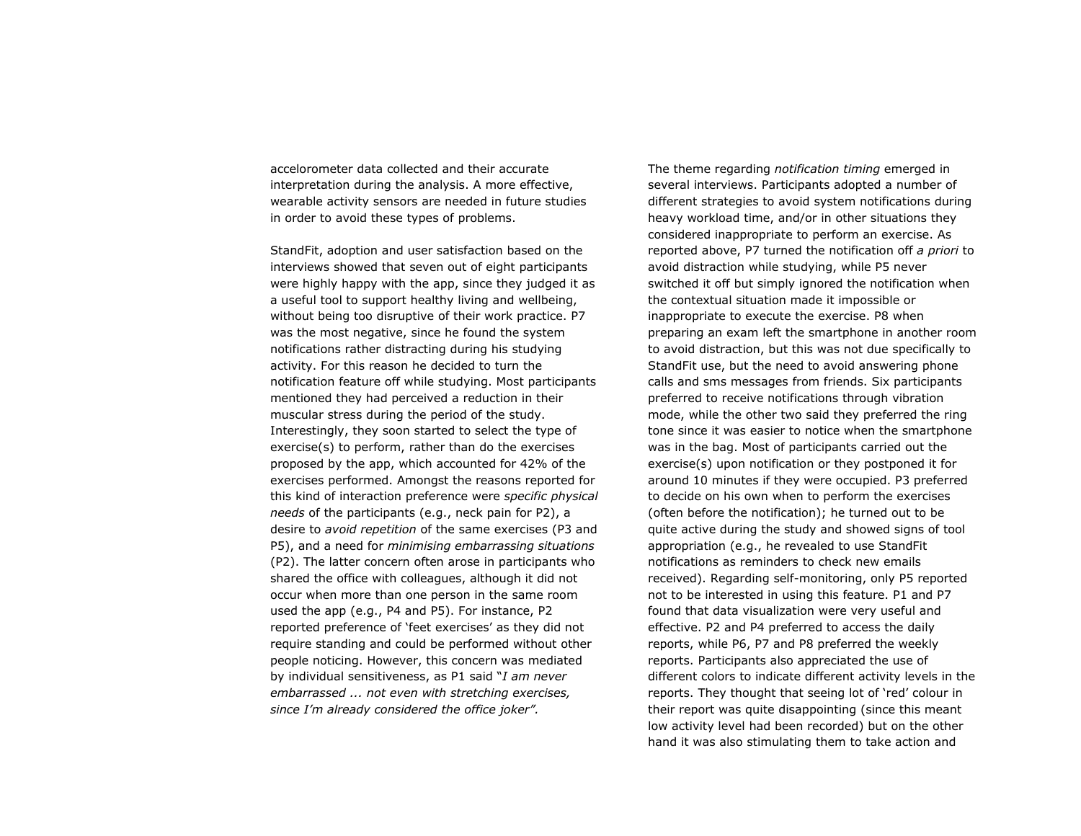accelorometer data collected and their accurate interpretation during the analysis. A more effective, wearable activity sensors are needed in future studies in order to avoid these types of problems.

StandFit, adoption and user satisfaction based on the interviews showed that seven out of eight participants were highly happy with the app, since they judged it as a useful tool to support healthy living and wellbeing, without being too disruptive of their work practice. P7 was the most negative, since he found the system notifications rather distracting during his studying activity. For this reason he decided to turn the notification feature off while studying. Most participants mentioned they had perceived a reduction in their muscular stress during the period of the study. Interestingly, they soon started to select the type of exercise(s) to perform, rather than do the exercises proposed by the app, which accounted for 42% of the exercises performed. Amongst the reasons reported for this kind of interaction preference were *specific physical needs* of the participants (e.g., neck pain for P2), a desire to *avoid repetition* of the same exercises (P3 and P5), and a need for *minimising embarrassing situations*  (P2). The latter concern often arose in participants who shared the office with colleagues, although it did not occur when more than one person in the same room used the app (e.g., P4 and P5). For instance, P2 reported preference of 'feet exercises' as they did not require standing and could be performed without other people noticing. However, this concern was mediated by individual sensitiveness, as P1 said "*I am never embarrassed ... not even with stretching exercises, since I'm already considered the office joker".*

The theme regarding *notification timing* emerged in several interviews. Participants adopted a number of different strategies to avoid system notifications during heavy workload time, and/or in other situations they considered inappropriate to perform an exercise. As reported above, P7 turned the notification off *a priori* to avoid distraction while studying, while P5 never switched it off but simply ignored the notification when the contextual situation made it impossible or inappropriate to execute the exercise. P8 when preparing an exam left the smartphone in another room to avoid distraction, but this was not due specifically to StandFit use, but the need to avoid answering phone calls and sms messages from friends. Six participants preferred to receive notifications through vibration mode, while the other two said they preferred the ring tone since it was easier to notice when the smartphone was in the bag. Most of participants carried out the exercise(s) upon notification or they postponed it for around 10 minutes if they were occupied. P3 preferred to decide on his own when to perform the exercises (often before the notification); he turned out to be quite active during the study and showed signs of tool appropriation (e.g., he revealed to use StandFit notifications as reminders to check new emails received). Regarding self-monitoring, only P5 reported not to be interested in using this feature. P1 and P7 found that data visualization were very useful and effective. P2 and P4 preferred to access the daily reports, while P6, P7 and P8 preferred the weekly reports. Participants also appreciated the use of different colors to indicate different activity levels in the reports. They thought that seeing lot of 'red' colour in their report was quite disappointing (since this meant low activity level had been recorded) but on the other hand it was also stimulating them to take action and